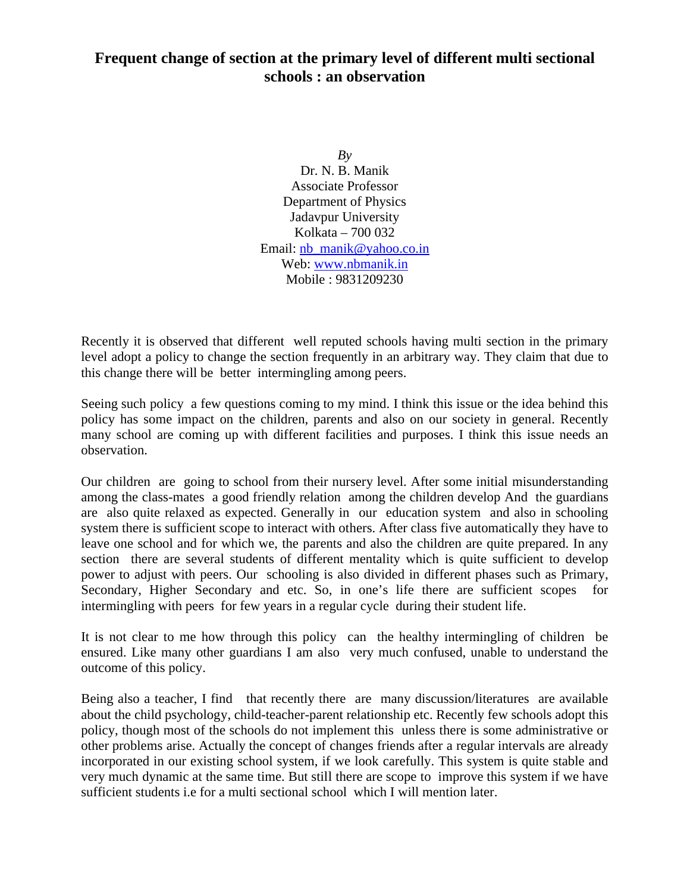## **Frequent change of section at the primary level of different multi sectional schools : an observation**

*By* Dr. N. B. Manik Associate Professor Department of Physics Jadavpur University Kolkata – 700 032 Email: nb\_manik@yahoo.co.in Web: www.nbmanik.in Mobile : 9831209230

Recently it is observed that different well reputed schools having multi section in the primary level adopt a policy to change the section frequently in an arbitrary way. They claim that due to this change there will be better intermingling among peers.

Seeing such policy a few questions coming to my mind. I think this issue or the idea behind this policy has some impact on the children, parents and also on our society in general. Recently many school are coming up with different facilities and purposes. I think this issue needs an observation.

Our children are going to school from their nursery level. After some initial misunderstanding among the class-mates a good friendly relation among the children develop And the guardians are also quite relaxed as expected. Generally in our education system and also in schooling system there is sufficient scope to interact with others. After class five automatically they have to leave one school and for which we, the parents and also the children are quite prepared. In any section there are several students of different mentality which is quite sufficient to develop power to adjust with peers. Our schooling is also divided in different phases such as Primary, Secondary, Higher Secondary and etc. So, in one's life there are sufficient scopes for intermingling with peers for few years in a regular cycle during their student life.

It is not clear to me how through this policy can the healthy intermingling of children be ensured. Like many other guardians I am also very much confused, unable to understand the outcome of this policy.

Being also a teacher, I find that recently there are many discussion/literatures are available about the child psychology, child-teacher-parent relationship etc. Recently few schools adopt this policy, though most of the schools do not implement this unless there is some administrative or other problems arise. Actually the concept of changes friends after a regular intervals are already incorporated in our existing school system, if we look carefully. This system is quite stable and very much dynamic at the same time. But still there are scope to improve this system if we have sufficient students i.e for a multi sectional school which I will mention later.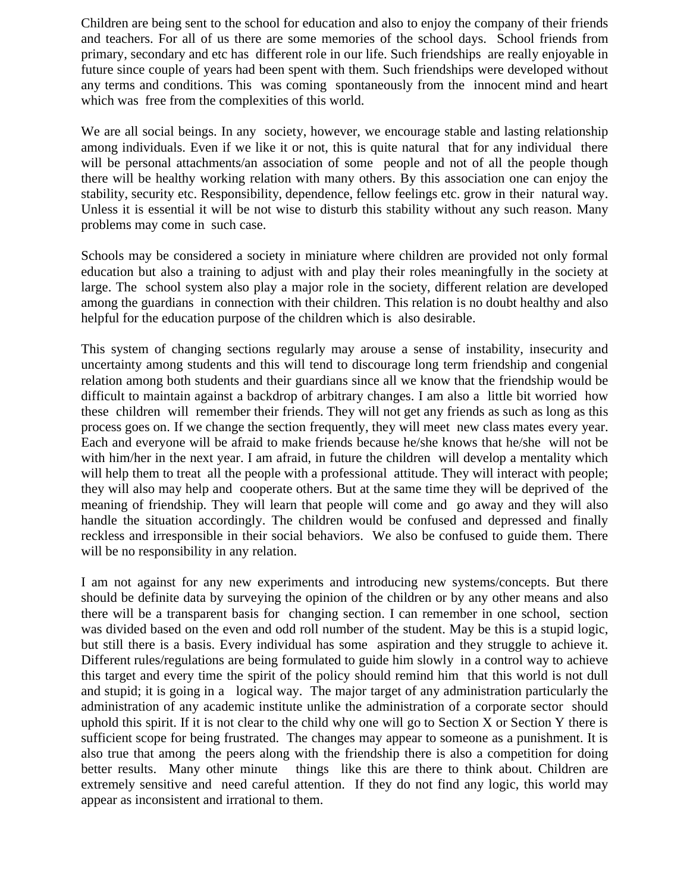Children are being sent to the school for education and also to enjoy the company of their friends and teachers. For all of us there are some memories of the school days. School friends from primary, secondary and etc has different role in our life. Such friendships are really enjoyable in future since couple of years had been spent with them. Such friendships were developed without any terms and conditions. This was coming spontaneously from the innocent mind and heart which was free from the complexities of this world.

We are all social beings. In any society, however, we encourage stable and lasting relationship among individuals. Even if we like it or not, this is quite natural that for any individual there will be personal attachments/an association of some people and not of all the people though there will be healthy working relation with many others. By this association one can enjoy the stability, security etc. Responsibility, dependence, fellow feelings etc. grow in their natural way. Unless it is essential it will be not wise to disturb this stability without any such reason. Many problems may come in such case.

Schools may be considered a society in miniature where children are provided not only formal education but also a training to adjust with and play their roles meaningfully in the society at large. The school system also play a major role in the society, different relation are developed among the guardians in connection with their children. This relation is no doubt healthy and also helpful for the education purpose of the children which is also desirable.

This system of changing sections regularly may arouse a sense of instability, insecurity and uncertainty among students and this will tend to discourage long term friendship and congenial relation among both students and their guardians since all we know that the friendship would be difficult to maintain against a backdrop of arbitrary changes. I am also a little bit worried how these children will remember their friends. They will not get any friends as such as long as this process goes on. If we change the section frequently, they will meet new class mates every year. Each and everyone will be afraid to make friends because he/she knows that he/she will not be with him/her in the next year. I am afraid, in future the children will develop a mentality which will help them to treat all the people with a professional attitude. They will interact with people; they will also may help and cooperate others. But at the same time they will be deprived of the meaning of friendship. They will learn that people will come and go away and they will also handle the situation accordingly. The children would be confused and depressed and finally reckless and irresponsible in their social behaviors. We also be confused to guide them. There will be no responsibility in any relation.

I am not against for any new experiments and introducing new systems/concepts. But there should be definite data by surveying the opinion of the children or by any other means and also there will be a transparent basis for changing section. I can remember in one school, section was divided based on the even and odd roll number of the student. May be this is a stupid logic, but still there is a basis. Every individual has some aspiration and they struggle to achieve it. Different rules/regulations are being formulated to guide him slowly in a control way to achieve this target and every time the spirit of the policy should remind him that this world is not dull and stupid; it is going in a logical way. The major target of any administration particularly the administration of any academic institute unlike the administration of a corporate sector should uphold this spirit. If it is not clear to the child why one will go to Section X or Section Y there is sufficient scope for being frustrated. The changes may appear to someone as a punishment. It is also true that among the peers along with the friendship there is also a competition for doing better results. Many other minute things like this are there to think about. Children are extremely sensitive and need careful attention. If they do not find any logic, this world may appear as inconsistent and irrational to them.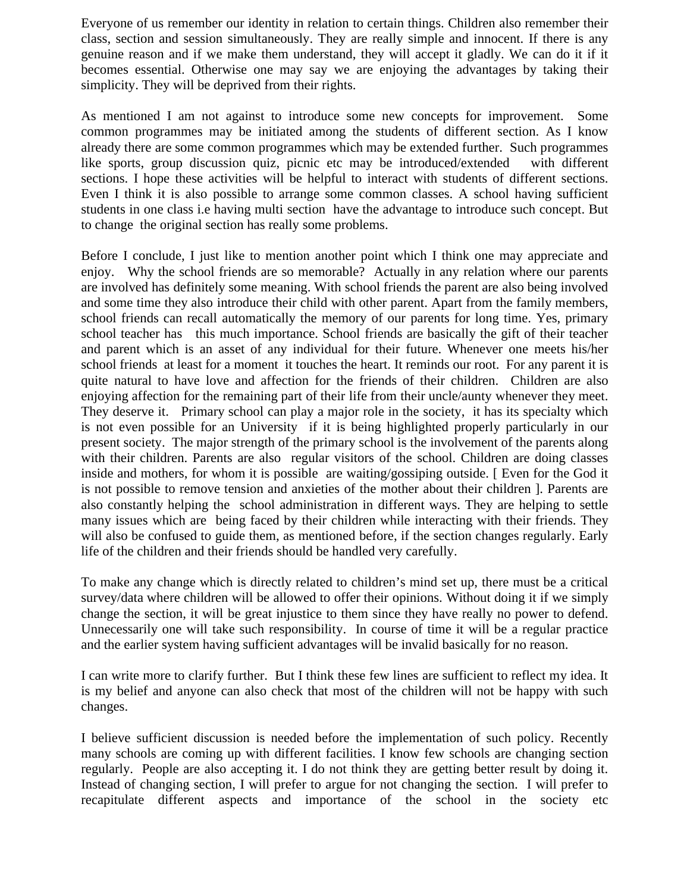Everyone of us remember our identity in relation to certain things. Children also remember their class, section and session simultaneously. They are really simple and innocent. If there is any genuine reason and if we make them understand, they will accept it gladly. We can do it if it becomes essential. Otherwise one may say we are enjoying the advantages by taking their simplicity. They will be deprived from their rights.

As mentioned I am not against to introduce some new concepts for improvement. Some common programmes may be initiated among the students of different section. As I know already there are some common programmes which may be extended further. Such programmes like sports, group discussion quiz, picnic etc may be introduced/extended with different sections. I hope these activities will be helpful to interact with students of different sections. Even I think it is also possible to arrange some common classes. A school having sufficient students in one class i.e having multi section have the advantage to introduce such concept. But to change the original section has really some problems.

Before I conclude, I just like to mention another point which I think one may appreciate and enjoy. Why the school friends are so memorable? Actually in any relation where our parents are involved has definitely some meaning. With school friends the parent are also being involved and some time they also introduce their child with other parent. Apart from the family members, school friends can recall automatically the memory of our parents for long time. Yes, primary school teacher has this much importance. School friends are basically the gift of their teacher and parent which is an asset of any individual for their future. Whenever one meets his/her school friends at least for a moment it touches the heart. It reminds our root. For any parent it is quite natural to have love and affection for the friends of their children. Children are also enjoying affection for the remaining part of their life from their uncle/aunty whenever they meet. They deserve it. Primary school can play a major role in the society, it has its specialty which is not even possible for an University if it is being highlighted properly particularly in our present society. The major strength of the primary school is the involvement of the parents along with their children. Parents are also regular visitors of the school. Children are doing classes inside and mothers, for whom it is possible are waiting/gossiping outside. [ Even for the God it is not possible to remove tension and anxieties of the mother about their children ]. Parents are also constantly helping the school administration in different ways. They are helping to settle many issues which are being faced by their children while interacting with their friends. They will also be confused to guide them, as mentioned before, if the section changes regularly. Early life of the children and their friends should be handled very carefully.

To make any change which is directly related to children's mind set up, there must be a critical survey/data where children will be allowed to offer their opinions. Without doing it if we simply change the section, it will be great injustice to them since they have really no power to defend. Unnecessarily one will take such responsibility. In course of time it will be a regular practice and the earlier system having sufficient advantages will be invalid basically for no reason.

I can write more to clarify further. But I think these few lines are sufficient to reflect my idea. It is my belief and anyone can also check that most of the children will not be happy with such changes.

I believe sufficient discussion is needed before the implementation of such policy. Recently many schools are coming up with different facilities. I know few schools are changing section regularly. People are also accepting it. I do not think they are getting better result by doing it. Instead of changing section, I will prefer to argue for not changing the section. I will prefer to recapitulate different aspects and importance of the school in the society etc